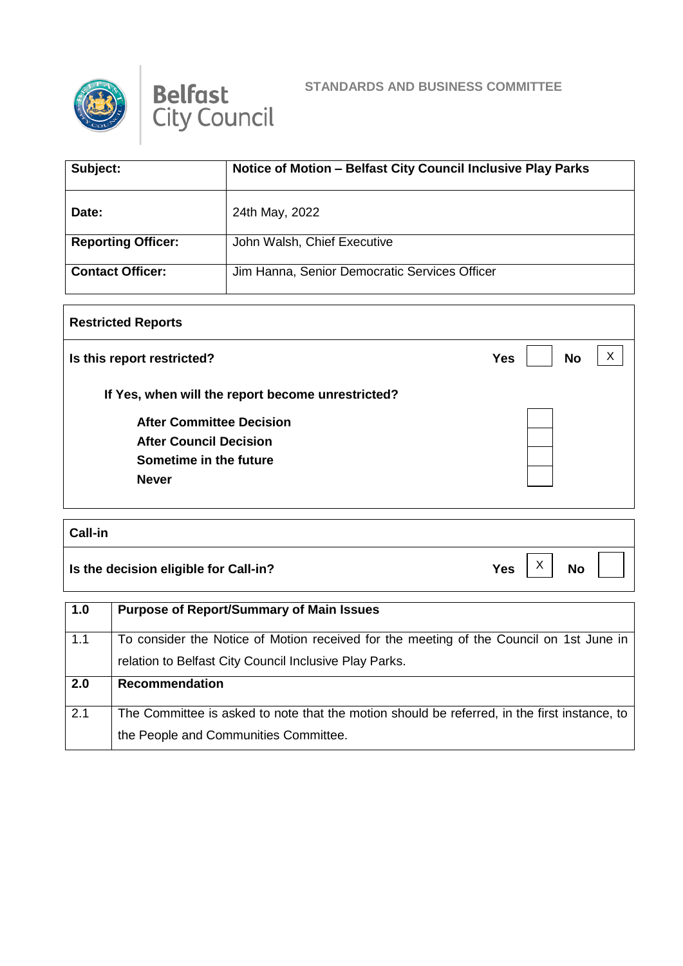



## **STANDARDS AND BUSINESS COMMITTEE**

| Subject:                  | Notice of Motion - Belfast City Council Inclusive Play Parks |
|---------------------------|--------------------------------------------------------------|
| Date:                     | 24th May, 2022                                               |
| <b>Reporting Officer:</b> | John Walsh, Chief Executive                                  |
| <b>Contact Officer:</b>   | Jim Hanna, Senior Democratic Services Officer                |

## **Restricted Reports Is this report restricted? No If Yes, when will the report become unrestricted? After Committee Decision After Council Decision Sometime in the future Never**  $\vert x \vert$

## **Call-in Is the decision eligible for Call-in?**  $Yes \begin{bmatrix} X \\ Y \end{bmatrix}$  No  $\vert x \vert$

| 1.0 | <b>Purpose of Report/Summary of Main Issues</b>                                              |
|-----|----------------------------------------------------------------------------------------------|
| 1.1 | To consider the Notice of Motion received for the meeting of the Council on 1st June in      |
|     | relation to Belfast City Council Inclusive Play Parks.                                       |
| 2.0 | Recommendation                                                                               |
| 2.1 | The Committee is asked to note that the motion should be referred, in the first instance, to |
|     |                                                                                              |
|     | the People and Communities Committee.                                                        |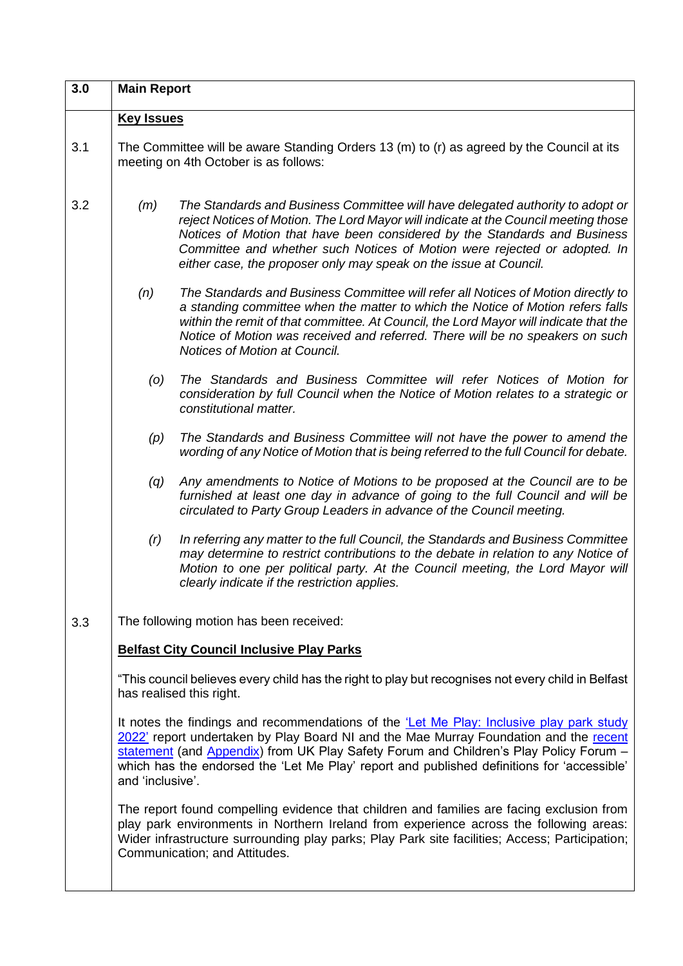| 3.0                           | <b>Main Report</b>                                                                                                                                                                                                                                                                                                                                                                                 |                                                                                                                                                                                                                                                                                                                                                                                                      |
|-------------------------------|----------------------------------------------------------------------------------------------------------------------------------------------------------------------------------------------------------------------------------------------------------------------------------------------------------------------------------------------------------------------------------------------------|------------------------------------------------------------------------------------------------------------------------------------------------------------------------------------------------------------------------------------------------------------------------------------------------------------------------------------------------------------------------------------------------------|
|                               | <b>Key Issues</b>                                                                                                                                                                                                                                                                                                                                                                                  |                                                                                                                                                                                                                                                                                                                                                                                                      |
| 3.1                           | The Committee will be aware Standing Orders 13 (m) to (r) as agreed by the Council at its<br>meeting on 4th October is as follows:                                                                                                                                                                                                                                                                 |                                                                                                                                                                                                                                                                                                                                                                                                      |
| 3.2                           | (m)                                                                                                                                                                                                                                                                                                                                                                                                | The Standards and Business Committee will have delegated authority to adopt or<br>reject Notices of Motion. The Lord Mayor will indicate at the Council meeting those<br>Notices of Motion that have been considered by the Standards and Business<br>Committee and whether such Notices of Motion were rejected or adopted. In<br>either case, the proposer only may speak on the issue at Council. |
|                               | (n)                                                                                                                                                                                                                                                                                                                                                                                                | The Standards and Business Committee will refer all Notices of Motion directly to<br>a standing committee when the matter to which the Notice of Motion refers falls<br>within the remit of that committee. At Council, the Lord Mayor will indicate that the<br>Notice of Motion was received and referred. There will be no speakers on such<br>Notices of Motion at Council.                      |
|                               | (0)                                                                                                                                                                                                                                                                                                                                                                                                | The Standards and Business Committee will refer Notices of Motion for<br>consideration by full Council when the Notice of Motion relates to a strategic or<br>constitutional matter.                                                                                                                                                                                                                 |
|                               | (p)                                                                                                                                                                                                                                                                                                                                                                                                | The Standards and Business Committee will not have the power to amend the<br>wording of any Notice of Motion that is being referred to the full Council for debate.                                                                                                                                                                                                                                  |
|                               | (q)                                                                                                                                                                                                                                                                                                                                                                                                | Any amendments to Notice of Motions to be proposed at the Council are to be<br>furnished at least one day in advance of going to the full Council and will be<br>circulated to Party Group Leaders in advance of the Council meeting.                                                                                                                                                                |
|                               | (r)                                                                                                                                                                                                                                                                                                                                                                                                | In referring any matter to the full Council, the Standards and Business Committee<br>may determine to restrict contributions to the debate in relation to any Notice of<br>Motion to one per political party. At the Council meeting, the Lord Mayor will<br>clearly indicate if the restriction applies.                                                                                            |
| 3.3                           | The following motion has been received:                                                                                                                                                                                                                                                                                                                                                            |                                                                                                                                                                                                                                                                                                                                                                                                      |
|                               |                                                                                                                                                                                                                                                                                                                                                                                                    | <b>Belfast City Council Inclusive Play Parks</b>                                                                                                                                                                                                                                                                                                                                                     |
|                               | "This council believes every child has the right to play but recognises not every child in Belfast<br>has realised this right.                                                                                                                                                                                                                                                                     |                                                                                                                                                                                                                                                                                                                                                                                                      |
|                               | It notes the findings and recommendations of the <i>Let Me Play: Inclusive play park study</i><br>2022' report undertaken by Play Board NI and the Mae Murray Foundation and the recent<br>statement (and Appendix) from UK Play Safety Forum and Children's Play Policy Forum -<br>which has the endorsed the 'Let Me Play' report and published definitions for 'accessible'<br>and 'inclusive'. |                                                                                                                                                                                                                                                                                                                                                                                                      |
| Communication; and Attitudes. |                                                                                                                                                                                                                                                                                                                                                                                                    | The report found compelling evidence that children and families are facing exclusion from<br>play park environments in Northern Ireland from experience across the following areas:<br>Wider infrastructure surrounding play parks; Play Park site facilities; Access; Participation;                                                                                                                |

 $\mathsf{l}$